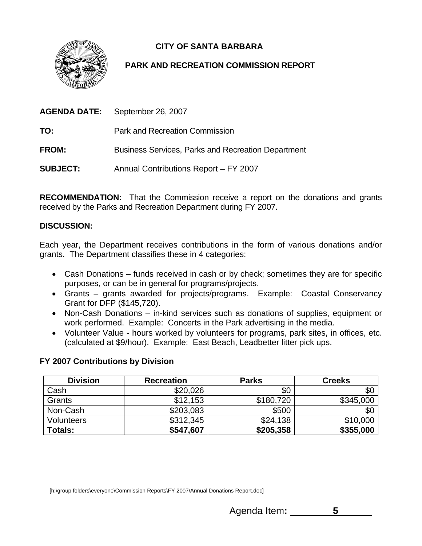**CITY OF SANTA BARBARA** 



# **PARK AND RECREATION COMMISSION REPORT**

| AGENDA DATE:    | September 26, 2007                                        |
|-----------------|-----------------------------------------------------------|
| TO:             | Park and Recreation Commission                            |
| <b>FROM:</b>    | <b>Business Services, Parks and Recreation Department</b> |
| <b>SUBJECT:</b> | Annual Contributions Report - FY 2007                     |

**RECOMMENDATION:** That the Commission receive a report on the donations and grants received by the Parks and Recreation Department during FY 2007.

## **ISCUSSION: D**

Each year, the Department receives contributions in the form of various donations and/or grants. The Department classifies these in 4 categories:

- Cash Donations funds received in cash or by check; sometimes they are for specific purposes, or can be in general for programs/projects.
- Grants grants awarded for projects/programs. Example: Coastal Conservancy Grant for DFP (\$145,720).
- Non-Cash Donations in-kind services such as donations of supplies, equipment or work performed. Example: Concerts in the Park advertising in the media.
- Volunteer Value hours worked by volunteers for programs, park sites, in offices, etc. (calculated at \$9/hour). Example: East Beach, Leadbetter litter pick ups.

### **Y 2007 Contributions by Division F**

| <b>Division</b> | <b>Recreation</b> | <b>Parks</b> | <b>Creeks</b> |
|-----------------|-------------------|--------------|---------------|
| Cash            | \$20,026          | \$0          | \$0           |
| Grants          | \$12,153          | \$180,720    | \$345,000     |
| Non-Cash        | \$203,083         | \$500        | \$0           |
| Volunteers      | \$312,345         | \$24,138     | \$10,000      |
| <b>Totals:</b>  | \$547,607         | \$205,358    | \$355,000     |

[h:\group folders\everyone\Commission Reports\FY 2007\Annual Donations Report.doc]